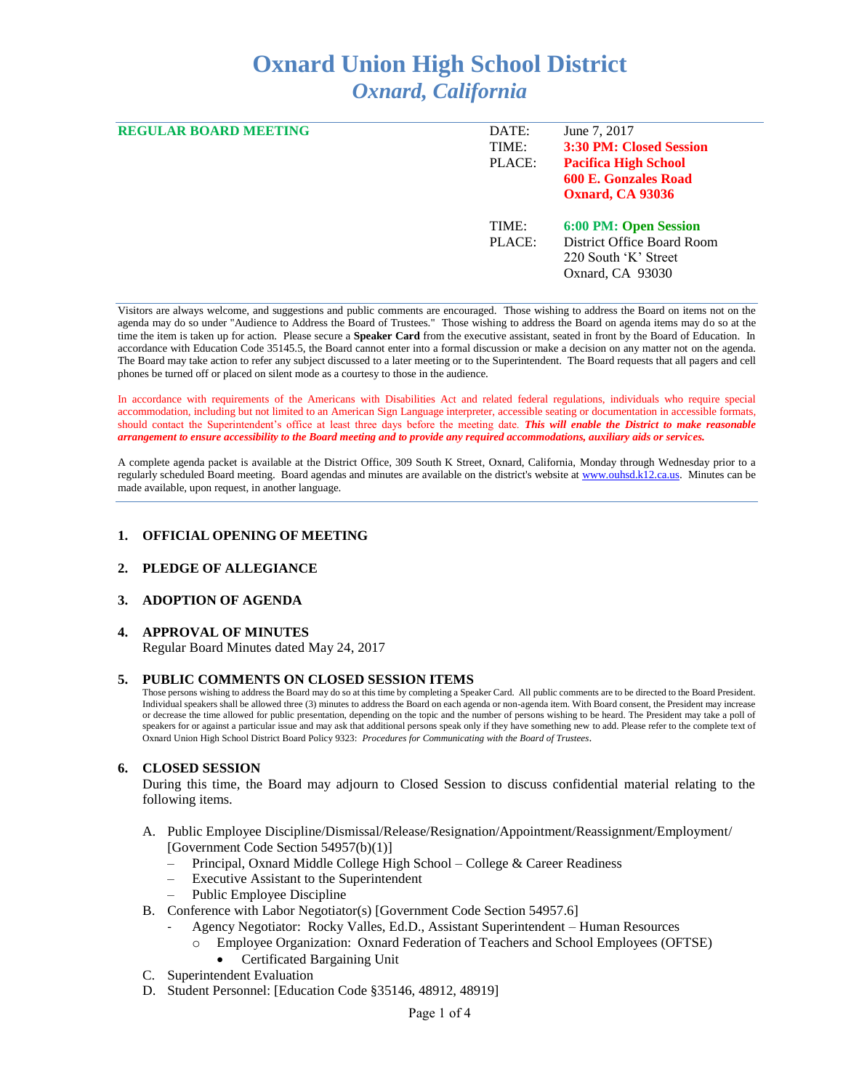# **Oxnard Union High School District** *Oxnard, California*

| DATE:<br>TIME:<br>PLACE: | June 7, 2017<br><b>3:30 PM: Closed Session</b><br><b>Pacifica High School</b><br><b>600 E. Gonzales Road</b><br><b>Oxnard, CA 93036</b> |
|--------------------------|-----------------------------------------------------------------------------------------------------------------------------------------|
| TIME:<br>PLACE:          | 6:00 PM: Open Session<br>District Office Board Room<br>220 South 'K' Street<br>Oxnard, CA 93030                                         |
|                          |                                                                                                                                         |

Visitors are always welcome, and suggestions and public comments are encouraged. Those wishing to address the Board on items not on the agenda may do so under "Audience to Address the Board of Trustees." Those wishing to address the Board on agenda items may do so at the time the item is taken up for action. Please secure a **Speaker Card** from the executive assistant, seated in front by the Board of Education. In accordance with Education Code 35145.5, the Board cannot enter into a formal discussion or make a decision on any matter not on the agenda. The Board may take action to refer any subject discussed to a later meeting or to the Superintendent. The Board requests that all pagers and cell phones be turned off or placed on silent mode as a courtesy to those in the audience.

In accordance with requirements of the Americans with Disabilities Act and related federal regulations, individuals who require special accommodation, including but not limited to an American Sign Language interpreter, accessible seating or documentation in accessible formats, should contact the Superintendent's office at least three days before the meeting date. *This will enable the District to make reasonable arrangement to ensure accessibility to the Board meeting and to provide any required accommodations, auxiliary aids or services.* 

A complete agenda packet is available at the District Office, 309 South K Street, Oxnard, California, Monday through Wednesday prior to a regularly scheduled Board meeting. Board agendas and minutes are available on the district's website at [www.ouhsd.k12.ca.us.](http://www.ouhsd.k12.ca.us/)Minutes can be made available, upon request, in another language.

#### **1. OFFICIAL OPENING OF MEETING**

## **2. PLEDGE OF ALLEGIANCE**

## **3. ADOPTION OF AGENDA**

**4. APPROVAL OF MINUTES** Regular Board Minutes dated May 24, 2017

#### **5. PUBLIC COMMENTS ON CLOSED SESSION ITEMS**

Those persons wishing to address the Board may do so at this time by completing a Speaker Card. All public comments are to be directed to the Board President. Individual speakers shall be allowed three (3) minutes to address the Board on each agenda or non-agenda item. With Board consent, the President may increase or decrease the time allowed for public presentation, depending on the topic and the number of persons wishing to be heard. The President may take a poll of speakers for or against a particular issue and may ask that additional persons speak only if they have something new to add. Please refer to the complete text of Oxnard Union High School District Board Policy 9323: *Procedures for Communicating with the Board of Trustees*.

#### **6. CLOSED SESSION**

During this time, the Board may adjourn to Closed Session to discuss confidential material relating to the following items.

- A. Public Employee Discipline/Dismissal/Release/Resignation/Appointment/Reassignment/Employment/ [Government Code Section 54957(b)(1)]
	- Principal, Oxnard Middle College High School College & Career Readiness
	- Executive Assistant to the Superintendent
	- Public Employee Discipline
- B. Conference with Labor Negotiator(s) [Government Code Section 54957.6]
	- Agency Negotiator: Rocky Valles, Ed.D., Assistant Superintendent Human Resources
		- Employee Organization: Oxnard Federation of Teachers and School Employees (OFTSE)
	- Certificated Bargaining Unit
- C. Superintendent Evaluation
- D. Student Personnel: [Education Code §35146, 48912, 48919]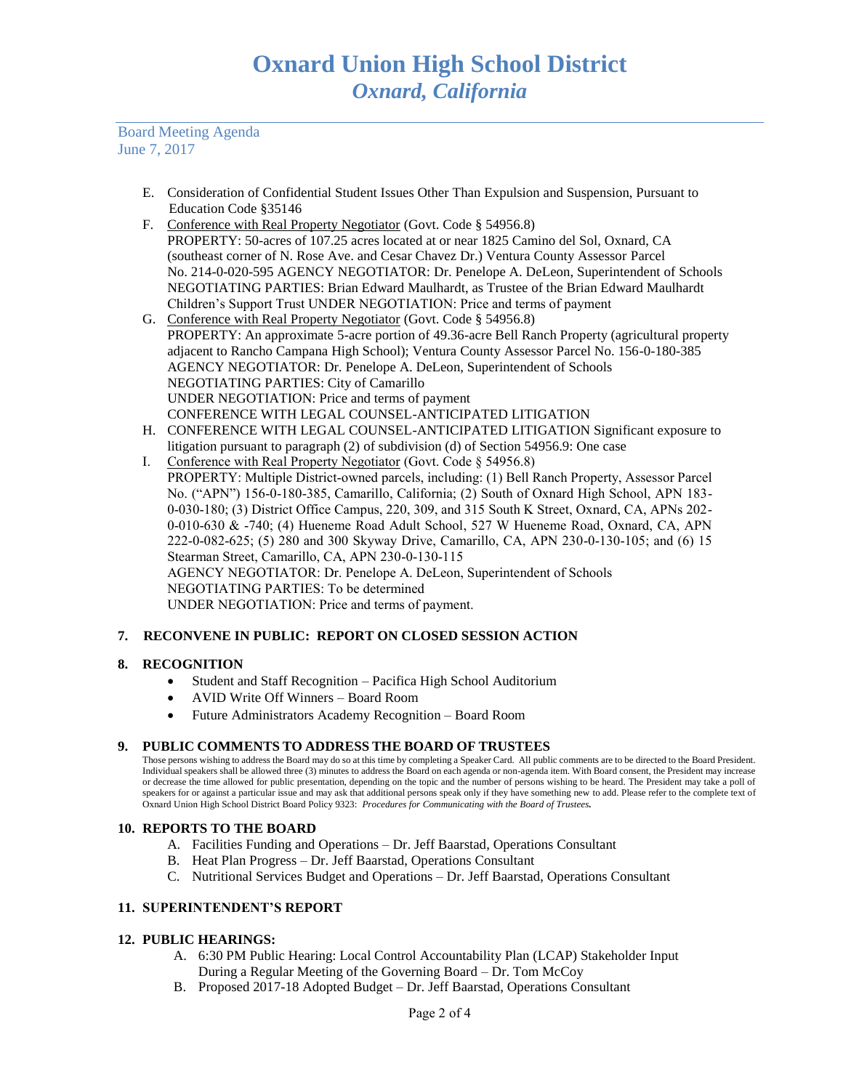Board Meeting Agenda June 7, 2017

- E. Consideration of Confidential Student Issues Other Than Expulsion and Suspension, Pursuant to Education Code §35146
- F. Conference with Real Property Negotiator (Govt. Code § 54956.8) PROPERTY: 50-acres of 107.25 acres located at or near 1825 Camino del Sol, Oxnard, CA (southeast corner of N. Rose Ave. and Cesar Chavez Dr.) Ventura County Assessor Parcel No. 214-0-020-595 AGENCY NEGOTIATOR: Dr. Penelope A. DeLeon, Superintendent of Schools NEGOTIATING PARTIES: Brian Edward Maulhardt, as Trustee of the Brian Edward Maulhardt Children's Support Trust UNDER NEGOTIATION: Price and terms of payment
- G. Conference with Real Property Negotiator (Govt. Code § 54956.8) PROPERTY: An approximate 5-acre portion of 49.36-acre Bell Ranch Property (agricultural property adjacent to Rancho Campana High School); Ventura County Assessor Parcel No. 156-0-180-385 AGENCY NEGOTIATOR: Dr. Penelope A. DeLeon, Superintendent of Schools NEGOTIATING PARTIES: City of Camarillo UNDER NEGOTIATION: Price and terms of payment CONFERENCE WITH LEGAL COUNSEL-ANTICIPATED LITIGATION
- H. CONFERENCE WITH LEGAL COUNSEL-ANTICIPATED LITIGATION Significant exposure to litigation pursuant to paragraph (2) of subdivision (d) of Section 54956.9: One case
- I. Conference with Real Property Negotiator (Govt. Code § 54956.8) PROPERTY: Multiple District-owned parcels, including: (1) Bell Ranch Property, Assessor Parcel No. ("APN") 156-0-180-385, Camarillo, California; (2) South of Oxnard High School, APN 183- 0-030-180; (3) District Office Campus, 220, 309, and 315 South K Street, Oxnard, CA, APNs 202- 0-010-630 & -740; (4) Hueneme Road Adult School, 527 W Hueneme Road, Oxnard, CA, APN 222-0-082-625; (5) 280 and 300 Skyway Drive, Camarillo, CA, APN 230-0-130-105; and (6) 15 Stearman Street, Camarillo, CA, APN 230-0-130-115 AGENCY NEGOTIATOR: Dr. Penelope A. DeLeon, Superintendent of Schools NEGOTIATING PARTIES: To be determined UNDER NEGOTIATION: Price and terms of payment.

# **7. RECONVENE IN PUBLIC: REPORT ON CLOSED SESSION ACTION**

## **8. RECOGNITION**

- Student and Staff Recognition Pacifica High School Auditorium
- AVID Write Off Winners Board Room
- Future Administrators Academy Recognition Board Room

## **9. PUBLIC COMMENTS TO ADDRESS THE BOARD OF TRUSTEES**

Those persons wishing to address the Board may do so at this time by completing a Speaker Card. All public comments are to be directed to the Board President. Individual speakers shall be allowed three (3) minutes to address the Board on each agenda or non-agenda item. With Board consent, the President may increase or decrease the time allowed for public presentation, depending on the topic and the number of persons wishing to be heard. The President may take a poll of speakers for or against a particular issue and may ask that additional persons speak only if they have something new to add. Please refer to the complete text of Oxnard Union High School District Board Policy 9323: *Procedures for Communicating with the Board of Trustees.*

## **10. REPORTS TO THE BOARD**

- A. Facilities Funding and Operations Dr. Jeff Baarstad, Operations Consultant
- B. Heat Plan Progress Dr. Jeff Baarstad, Operations Consultant
- C. Nutritional Services Budget and Operations Dr. Jeff Baarstad, Operations Consultant

# **11. SUPERINTENDENT'S REPORT**

## **12. PUBLIC HEARINGS:**

- A. 6:30 PM Public Hearing: Local Control Accountability Plan (LCAP) Stakeholder Input During a Regular Meeting of the Governing Board – Dr. Tom McCoy
- B. Proposed 2017-18 Adopted Budget Dr. Jeff Baarstad, Operations Consultant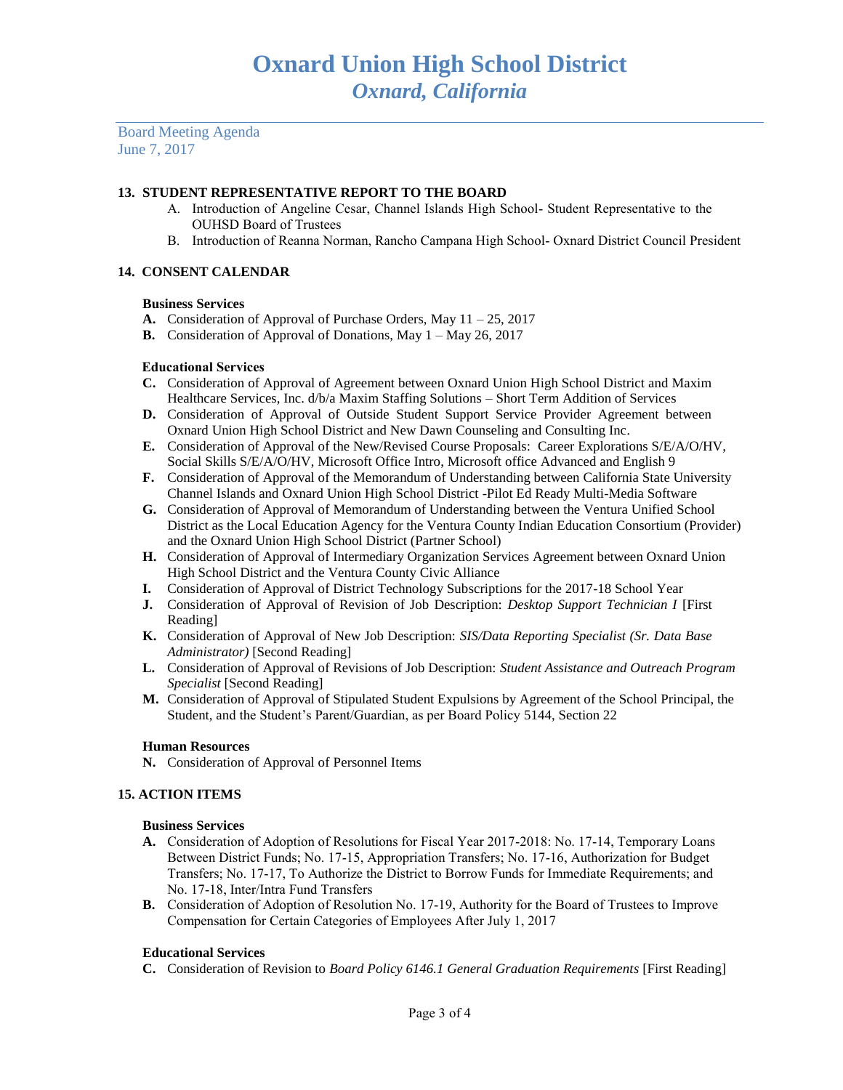Board Meeting Agenda June 7, 2017

## **13. STUDENT REPRESENTATIVE REPORT TO THE BOARD**

- A. Introduction of Angeline Cesar, Channel Islands High School- Student Representative to the OUHSD Board of Trustees
- B. Introduction of Reanna Norman, Rancho Campana High School- Oxnard District Council President

#### **14. CONSENT CALENDAR**

#### **Business Services**

- **A.** Consideration of Approval of Purchase Orders, May 11 25, 2017
- **B.** Consideration of Approval of Donations, May 1 May 26, 2017

#### Educational Services

- **C.** Consideration of Approval of Agreement between Oxnard Union High School District and Maxim Healthcare Services, Inc. d/b/a Maxim Staffing Solutions – Short Term Addition of Services
- **D.** Consideration of Approval of Outside Student Support Service Provider Agreement between Oxnard Union High School District and New Dawn Counseling and Consulting Inc*.*
- **E.** Consideration of Approval of the New/Revised Course Proposals: Career Explorations S/E/A/O/HV, Social Skills S/E/A/O/HV, Microsoft Office Intro, Microsoft office Advanced and English 9
- **F.** Consideration of Approval of the Memorandum of Understanding between California State University Channel Islands and Oxnard Union High School District -Pilot Ed Ready Multi-Media Software
- **G.** Consideration of Approval of Memorandum of Understanding between the Ventura Unified School District as the Local Education Agency for the Ventura County Indian Education Consortium (Provider) and the Oxnard Union High School District (Partner School)
- **H.** Consideration of Approval of Intermediary Organization Services Agreement between Oxnard Union High School District and the Ventura County Civic Alliance
- **I.** Consideration of Approval of District Technology Subscriptions for the 2017-18 School Year
- **J.** Consideration of Approval of Revision of Job Description: *Desktop Support Technician I* [First Reading]
- **K.** Consideration of Approval of New Job Description: *SIS/Data Reporting Specialist (Sr. Data Base Administrator)* [Second Reading]
- **L.** Consideration of Approval of Revisions of Job Description: *Student Assistance and Outreach Program Specialist* [Second Reading]
- **M.** Consideration of Approval of Stipulated Student Expulsions by Agreement of the School Principal, the Student, and the Student's Parent/Guardian, as per Board Policy 5144, Section 22

#### **Human Resources**

**N.** Consideration of Approval of Personnel Items

## **15. ACTION ITEMS**

#### **Business Services**

- **A.** Consideration of Adoption of Resolutions for Fiscal Year 2017-2018: No. 17-14, Temporary Loans Between District Funds; No. 17-15, Appropriation Transfers; No. 17-16, Authorization for Budget Transfers; No. 17-17, To Authorize the District to Borrow Funds for Immediate Requirements; and No. 17-18, Inter/Intra Fund Transfers
- **B.** Consideration of Adoption of Resolution No. 17-19, Authority for the Board of Trustees to Improve Compensation for Certain Categories of Employees After July 1, 2017

## **Educational Services**

**C.** Consideration of Revision to *Board Policy 6146.1 General Graduation Requirements* [First Reading]